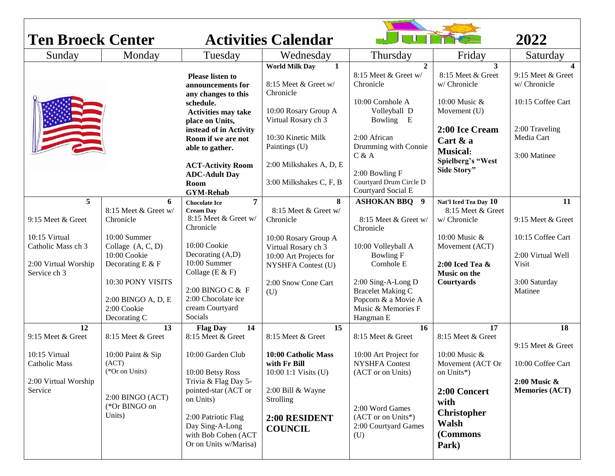| <b>Ten Broeck Center</b>                                    |                                                                            |                                                                                                                                                     | <b>Activities Calendar</b>                                                                  |                                                                                                          |                                                                                 | 2022                                                   |
|-------------------------------------------------------------|----------------------------------------------------------------------------|-----------------------------------------------------------------------------------------------------------------------------------------------------|---------------------------------------------------------------------------------------------|----------------------------------------------------------------------------------------------------------|---------------------------------------------------------------------------------|--------------------------------------------------------|
| Sunday                                                      | Monday                                                                     | Tuesday                                                                                                                                             | Wednesday                                                                                   | Thursday                                                                                                 | Friday                                                                          | Saturday                                               |
|                                                             |                                                                            | <b>Please listen to</b><br>announcements for<br>any changes to this<br>schedule.                                                                    | <b>World Milk Day</b><br>$\mathbf{1}$<br>8:15 Meet & Greet w/<br>Chronicle                  | $\mathbf{2}$<br>8:15 Meet & Greet w/<br>Chronicle<br>10:00 Cornhole A                                    | 3<br>8:15 Meet & Greet<br>w/ Chronicle<br>10:00 Music &                         | 9:15 Meet & Greet<br>w/ Chronicle<br>10:15 Coffee Cart |
|                                                             |                                                                            | <b>Activities may take</b><br>place on Units,<br>instead of in Activity<br>Room if we are not<br>able to gather.                                    | 10:00 Rosary Group A<br>Virtual Rosary ch 3<br>10:30 Kinetic Milk<br>Paintings (U)          | Volleyball D<br>Bowling E<br>2:00 African<br>Drumming with Connie<br>C & A                               | Movement (U)<br>2:00 Ice Cream<br>Cart & a<br><b>Musical:</b>                   | 2:00 Traveling<br>Media Cart<br>3:00 Matinee           |
|                                                             |                                                                            | <b>ACT-Activity Room</b><br><b>ADC-Adult Day</b><br>Room<br><b>GYM-Rehab</b>                                                                        | 2:00 Milkshakes A, D, E<br>3:00 Milkshakes C, F, B                                          | 2:00 Bowling F<br>Courtyard Drum Circle D<br>Courtyard Social E                                          | Spielberg's "West<br>Side Story"                                                |                                                        |
| 5                                                           | 6<br>8:15 Meet & Greet w/                                                  | 7<br><b>Chocolate Ice</b><br><b>Cream Day</b>                                                                                                       | 8<br>8:15 Meet & Greet w/                                                                   | <b>ASHOKAN BBQ 9</b>                                                                                     | Nat'l Iced Tea Day 10<br>8:15 Meet & Greet                                      | 11                                                     |
| 9:15 Meet & Greet                                           | Chronicle                                                                  | 8:15 Meet & Greet w/<br>Chronicle                                                                                                                   | Chronicle                                                                                   | 8:15 Meet & Greet w/<br>Chronicle                                                                        | w/ Chronicle                                                                    | 9:15 Meet & Greet                                      |
| 10:15 Virtual<br>Catholic Mass ch 3<br>2:00 Virtual Worship | 10:00 Summer<br>Collage $(A, C, D)$<br>10:00 Cookie<br>Decorating $E \& F$ | 10:00 Cookie<br>Decorating (A,D)<br>10:00 Summer                                                                                                    | 10:00 Rosary Group A<br>Virtual Rosary ch 3<br>10:00 Art Projects for<br>NYSHFA Contest (U) | 10:00 Volleyball A<br><b>Bowling F</b><br>Cornhole E                                                     | 10:00 Music &<br>Movement (ACT)<br>$2:00$ Iced Tea $\&$                         | 10:15 Coffee Cart<br>2:00 Virtual Well<br>Visit        |
| Service ch 3                                                | 10:30 PONY VISITS<br>2:00 BINGO A, D, E<br>2:00 Cookie<br>Decorating C     | Collage ( $E & F$ )<br>2:00 BINGO C & F<br>2:00 Chocolate ice<br>cream Courtyard<br>Socials                                                         | 2:00 Snow Cone Cart<br>(U)                                                                  | 2:00 Sing-A-Long D<br><b>Bracelet Making C</b><br>Popcorn & a Movie A<br>Music & Memories F<br>Hangman E | <b>Music on the</b><br>Courtyards                                               | 3:00 Saturday<br>Matinee                               |
| 12                                                          | 13                                                                         | <b>Flag Day</b><br>14                                                                                                                               | 15                                                                                          | <b>16</b>                                                                                                | 17                                                                              | 18                                                     |
| 9:15 Meet & Greet<br>10:15 Virtual<br><b>Catholic Mass</b>  | 8:15 Meet & Greet<br>10:00 Paint & Sip<br>(ACT)<br>(*Or on Units)          | 8:15 Meet & Greet<br>10:00 Garden Club<br>10:00 Betsy Ross                                                                                          | 8:15 Meet & Greet<br>10:00 Catholic Mass<br>with Fr Bill<br>10:00 1:1 Visits (U)            | 8:15 Meet & Greet<br>10:00 Art Project for<br><b>NYSHFA</b> Contest<br>(ACT or on Units)                 | 8:15 Meet & Greet<br>10:00 Music &<br>Movement (ACT Or<br>on Units*)            | 9:15 Meet & Greet<br>10:00 Coffee Cart                 |
| 2:00 Virtual Worship<br>Service                             | $2:00$ BINGO (ACT)<br>(*Or BINGO on<br>Units)                              | Trivia & Flag Day 5-<br>pointed-star (ACT or<br>on Units)<br>2:00 Patriotic Flag<br>Day Sing-A-Long<br>with Bob Cohen (ACT<br>Or on Units w/Marisa) | 2:00 Bill & Wayne<br>Strolling<br>2:00 RESIDENT<br><b>COUNCIL</b>                           | 2:00 Word Games<br>(ACT or on Units*)<br>2:00 Courtyard Games<br>(U)                                     | 2:00 Concert<br>with<br><b>Christopher</b><br><b>Walsh</b><br>(Commons<br>Park) | $2:00$ Music $\&$<br><b>Memories (ACT)</b>             |